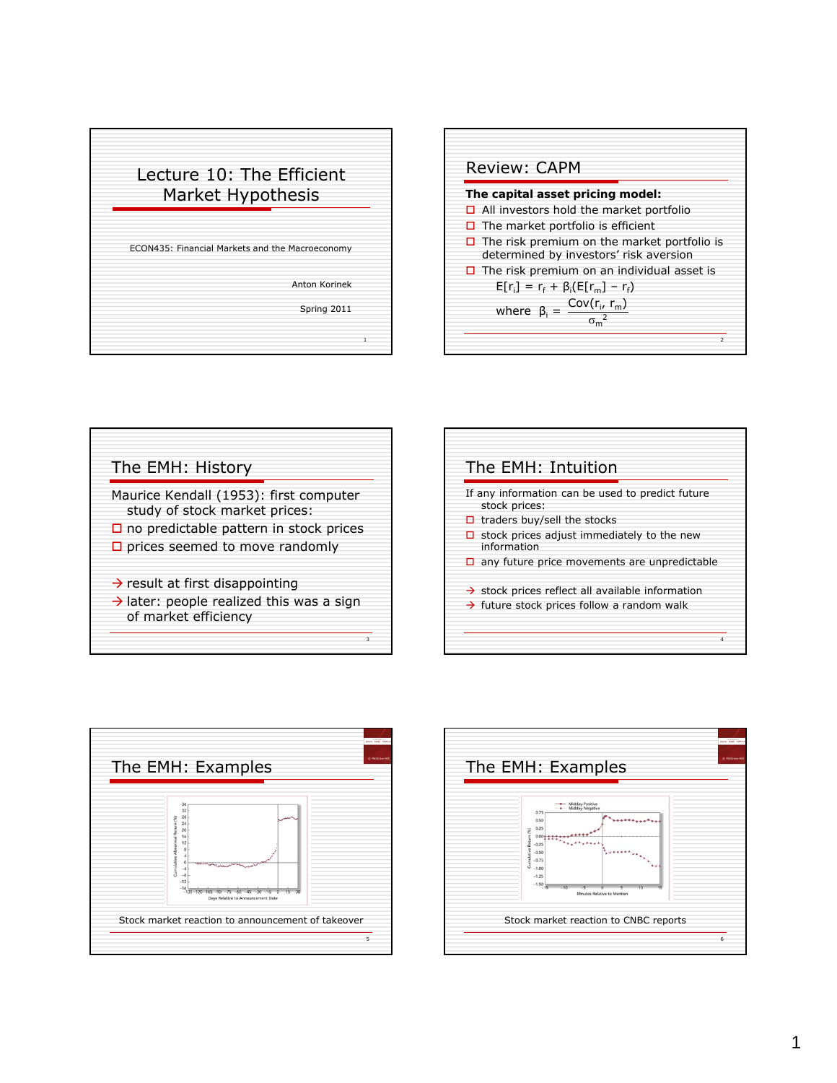





| The EMH: Intuition |                                                                                                                                                       |
|--------------------|-------------------------------------------------------------------------------------------------------------------------------------------------------|
| □                  | If any information can be used to predict future<br>stock prices:<br>$\Box$ traders buy/sell the stocks<br>stock prices adjust immediately to the new |
|                    | information<br>$\Box$ any future price movements are unpredictable<br>$\rightarrow$ stock prices reflect all available information                    |
|                    | $\rightarrow$ future stock prices follow a random walk<br>4                                                                                           |



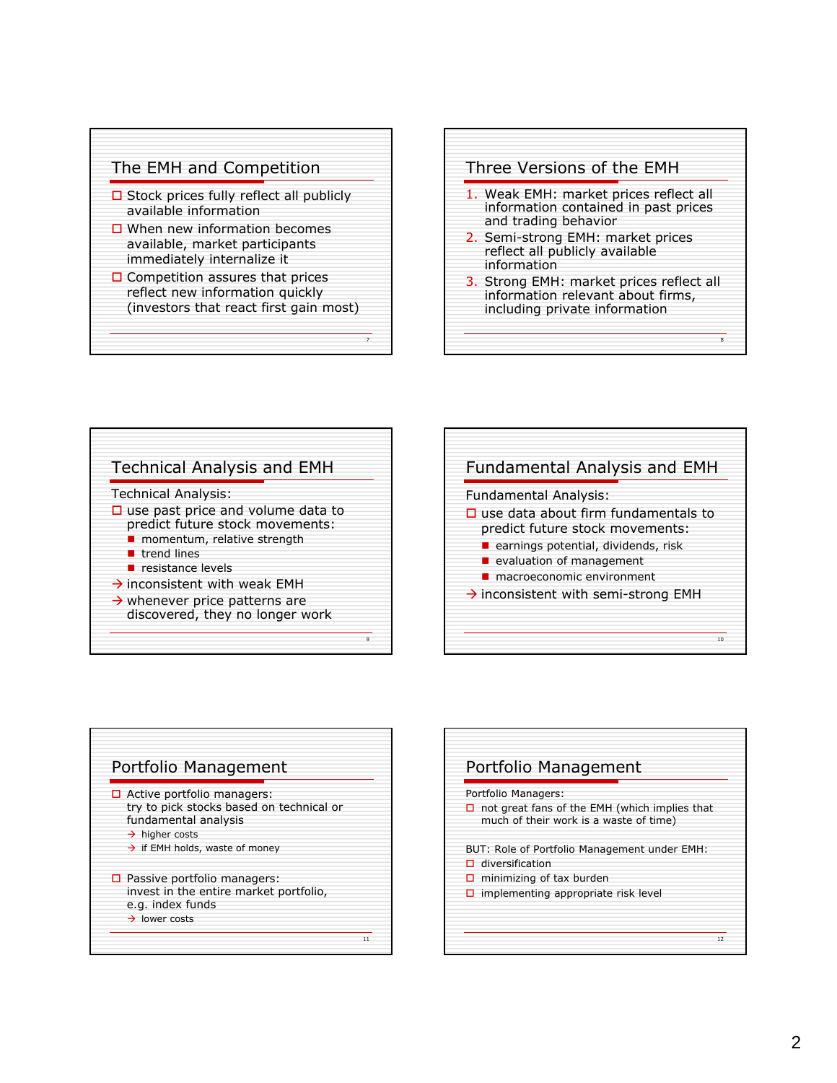

- $\square$  Stock prices fully reflect all publicly available information
- $\square$  When new information becomes available, market participants immediately internalize it
- $\square$  Competition assures that prices reflect new information quickly (investors that react first gain most)

7









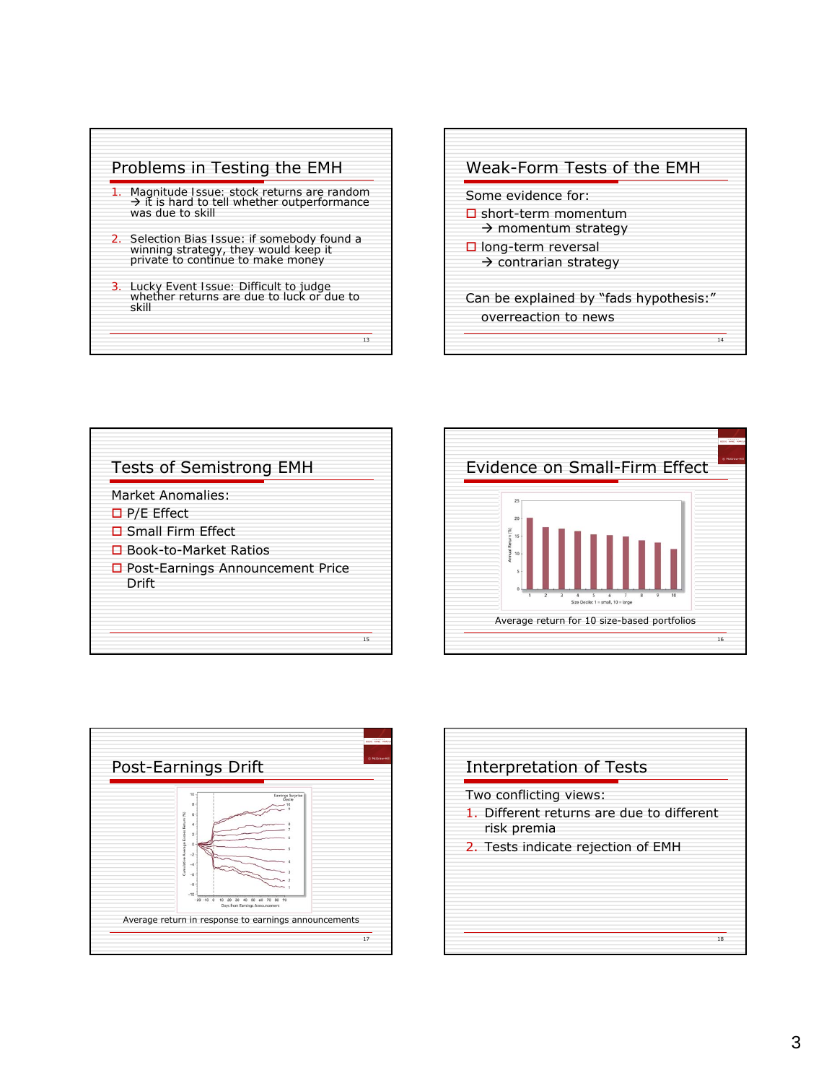![](_page_2_Figure_0.jpeg)

![](_page_2_Figure_1.jpeg)

## $\frac{1}{15}$ Tests of Semistrong EMH Market Anomalies:  $\Box$  P/E Effect □ Small Firm Effect □ Book-to-Market Ratios □ Post-Earnings Announcement Price Drift

![](_page_2_Figure_3.jpeg)

![](_page_2_Figure_4.jpeg)

![](_page_2_Figure_5.jpeg)